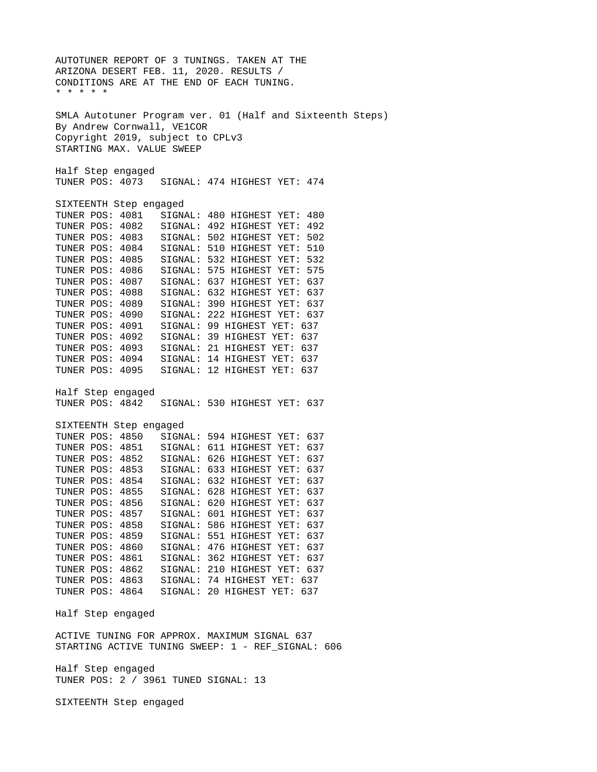AUTOTUNER REPORT OF 3 TUNINGS. TAKEN AT THE ARIZONA DESERT FEB. 11, 2020. RESULTS / CONDITIONS ARE AT THE END OF EACH TUNING. \* \* \* \* \* SMLA Autotuner Program ver. 01 (Half and Sixteenth Steps) By Andrew Cornwall, VE1COR Copyright 2019, subject to CPLv3 STARTING MAX. VALUE SWEEP Half Step engaged SIGNAL: 474 HIGHEST YET: 474 SIXTEENTH Step engaged<br>TUNER POS: 4081 SIGN TUNER POS: 4081 SIGNAL: 480 HIGHEST YET: 480 TUNER POS: 4082 SIGNAL: 492 HIGHEST YET: 492 TUNER POS: 4083 SIGNAL: 502 HIGHEST YET: 502 SIGNAL: 510 HIGHEST YET: 510 TUNER POS: 4085 SIGNAL: 532 HIGHEST YET: 532 TUNER POS: 4086 SIGNAL: 575 HIGHEST YET: 575 TUNER POS: 4087 SIGNAL: 637 HIGHEST YET: 637 SIGNAL: 632 HIGHEST YET: 637 TUNER POS: 4089 SIGNAL: 390 HIGHEST YET: 637 TUNER POS: 4090 SIGNAL: 222 HIGHEST YET: 637 TUNER POS: 4091 SIGNAL: 99 HIGHEST YET: 637 TUNER POS: 4092 SIGNAL: 39 HIGHEST YET: 637 TUNER POS: 4093 SIGNAL: 21 HIGHEST YET: 637 TUNER POS: 4094 SIGNAL: 14 HIGHEST YET: 637 SIGNAL: 12 HIGHEST YET: 637 Half Step engaged TUNER POS: 4842 SIGNAL: 530 HIGHEST YET: 637 SIXTEENTH Step engaged TUNER POS: 4850 SIGNAL: 594 HIGHEST YET: 637 TUNER POS: 4851 SIGNAL: 611 HIGHEST YET: 637 TUNER POS: 4852 SIGNAL: 626 HIGHEST YET: 637 SIGNAL: 633 HIGHEST YET: 637 TUNER POS: 4854 SIGNAL: 632 HIGHEST YET: 637 TUNER POS: 4855 SIGNAL: 628 HIGHEST YET: 637 TUNER POS: 4856 SIGNAL: 620 HIGHEST YET: 637 SIGNAL: 601 HIGHEST YET: 637 TUNER POS: 4858 SIGNAL: 586 HIGHEST YET: 637 TUNER POS: 4859 SIGNAL: 551 HIGHEST YET: 637 SIGNAL: 476 HIGHEST YET: 637 TUNER POS: 4861 SIGNAL: 362 HIGHEST YET: 637 TUNER POS: 4862 SIGNAL: 210 HIGHEST YET: 637 TUNER POS: 4863 SIGNAL: 74 HIGHEST YET: 637 SIGNAL: 20 HIGHEST YET: 637 Half Step engaged ACTIVE TUNING FOR APPROX. MAXIMUM SIGNAL 637 STARTING ACTIVE TUNING SWEEP: 1 - REF\_SIGNAL: 606 Half Step engaged TUNER POS: 2 / 3961 TUNED SIGNAL: 13 SIXTEENTH Step engaged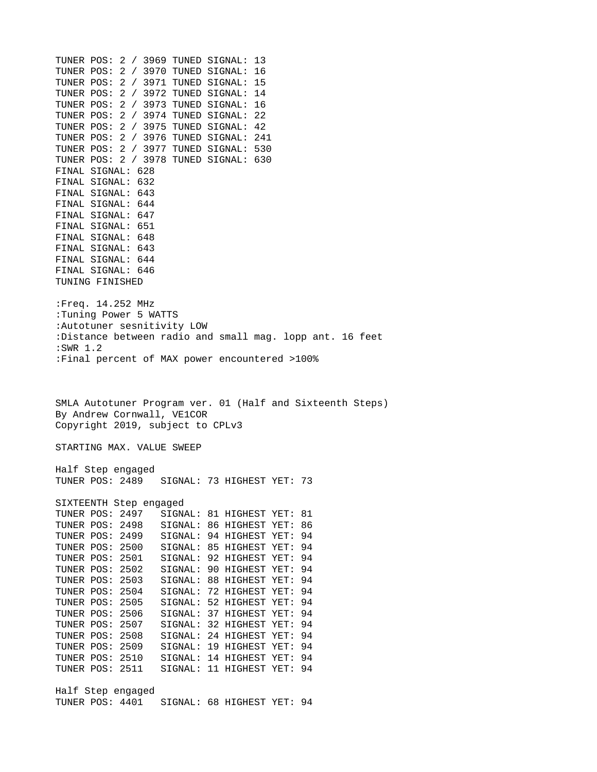TUNER POS: 2 / 3969 TUNED SIGNAL: 13 TUNER POS: 2 / 3970 TUNED SIGNAL: 16 TUNER POS: 2 / 3971 TUNED SIGNAL: 15 TUNER POS: 2 / 3972 TUNED SIGNAL: 14 TUNER POS: 2 / 3973 TUNED SIGNAL: 16 TUNER POS: 2 / 3974 TUNED SIGNAL: 22 TUNER POS: 2 / 3975 TUNED SIGNAL: 42 TUNER POS: 2 / 3976 TUNED SIGNAL: 241 TUNER POS: 2 / 3977 TUNED SIGNAL: 530 TUNER POS: 2 / 3978 TUNED SIGNAL: 630 FINAL SIGNAL: 628 FINAL SIGNAL: 632 FINAL SIGNAL: 643 FINAL SIGNAL: 644 FINAL SIGNAL: 647 FINAL SIGNAL: 651 FINAL SIGNAL: 648 FINAL SIGNAL: 643 FINAL SIGNAL: 644 FINAL SIGNAL: 646 TUNING FINISHED :Freq. 14.252 MHz :Tuning Power 5 WATTS :Autotuner sesnitivity LOW :Distance between radio and small mag. lopp ant. 16 feet :SWR 1.2 :Final percent of MAX power encountered >100% SMLA Autotuner Program ver. 01 (Half and Sixteenth Steps) By Andrew Cornwall, VE1COR Copyright 2019, subject to CPLv3 STARTING MAX. VALUE SWEEP Half Step engaged TUNER POS: 2489 SIGNAL: 73 HIGHEST YET: 73 SIXTEENTH Step engaged<br>TUNER POS: 2497 SIGN SIGNAL: 81 HIGHEST YET: 81 TUNER POS: 2498 SIGNAL: 86 HIGHEST YET: 86 SIGNAL: 94 HIGHEST YET: 94 TUNER POS: 2500 SIGNAL: 85 HIGHEST YET: 94 TUNER POS: 2501 SIGNAL: 92 HIGHEST YET: 94 TUNER POS: 2502 SIGNAL: 90 HIGHEST YET: 94 TUNER POS: 2503 SIGNAL: 88 HIGHEST YET: 94 SIGNAL: 72 HIGHEST YET: 94 TUNER POS: 2505 SIGNAL: 52 HIGHEST YET: 94 TUNER POS: 2506 SIGNAL: 37 HIGHEST YET: 94 SIGNAL: 32 HIGHEST YET: 94 TUNER POS: 2508 SIGNAL: 24 HIGHEST YET: 94 TUNER POS: 2509 SIGNAL: 19 HIGHEST YET: 94 SIGNAL: 14 HIGHEST YET: 94 TUNER POS: 2511 SIGNAL: 11 HIGHEST YET: 94 Half Step engaged

TUNER POS: 4401 SIGNAL: 68 HIGHEST YET: 94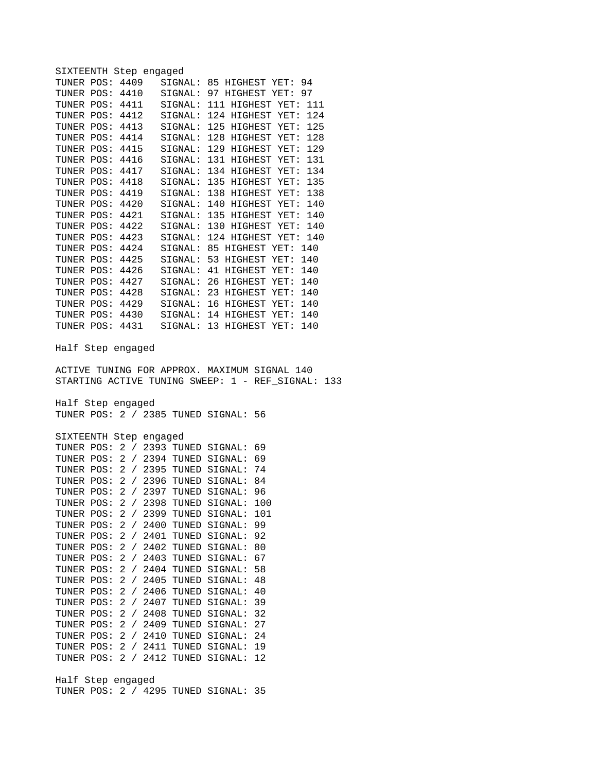| SIXTEENTH Step engaged<br>TUNER POS:<br>TUNER POS:<br><b>TUNER POS: 4411</b><br><b>TUNER POS: 4412</b><br><b>TUNER POS: 4413</b><br><b>TUNER POS: 4414</b><br><b>TUNER POS: 4415</b><br><b>TUNER POS: 4416</b><br>TUNER POS:<br>TUNER POS:<br><b>TUNER POS: 4419</b><br>TUNER POS: 4420<br><b>TUNER POS: 4421</b> | 4409<br>4410<br>4417<br>4418                     | SIGNAL:<br>SIGNAL:<br>SIGNAL:<br>SIGNAL:<br>SIGNAL:<br>SIGNAL:<br>SIGNAL:<br>SIGNAL:<br>SIGNAL:<br>SIGNAL:<br>SIGNAL:<br>SIGNAL: | 85 HIGHEST YET:<br>97 HIGHEST YET:<br>111 HIGHEST YET:<br>124 HIGHEST YET:<br>125 HIGHEST YET:<br>128 HIGHEST YET:<br>129 HIGHEST YET:<br>131 HIGHEST YET:<br>134 HIGHEST YET:<br>135 HIGHEST YET:<br>138 HIGHEST YET:<br>140 HIGHEST YET:<br>SIGNAL: 135 HIGHEST YET: |             | 94<br>97<br>111<br>124<br>125<br>128<br>129<br>131<br>134<br>135<br>138<br>140<br>140 |  |
|-------------------------------------------------------------------------------------------------------------------------------------------------------------------------------------------------------------------------------------------------------------------------------------------------------------------|--------------------------------------------------|----------------------------------------------------------------------------------------------------------------------------------|------------------------------------------------------------------------------------------------------------------------------------------------------------------------------------------------------------------------------------------------------------------------|-------------|---------------------------------------------------------------------------------------|--|
| <b>TUNER POS: 4422</b><br><b>TUNER POS: 4423</b>                                                                                                                                                                                                                                                                  |                                                  | SIGNAL:                                                                                                                          | SIGNAL: 130 HIGHEST YET:<br>124 HIGHEST YET:                                                                                                                                                                                                                           |             | 140<br>140                                                                            |  |
| <b>TUNER POS: 4424</b>                                                                                                                                                                                                                                                                                            |                                                  | SIGNAL:                                                                                                                          | 85 HIGHEST YET:                                                                                                                                                                                                                                                        |             | 140                                                                                   |  |
| <b>TUNER POS: 4425</b>                                                                                                                                                                                                                                                                                            |                                                  | SIGNAL:<br>SIGNAL:                                                                                                               | 53 HIGHEST YET:                                                                                                                                                                                                                                                        |             | 140                                                                                   |  |
| <b>TUNER POS: 4426</b><br>TUNER POS: 4427                                                                                                                                                                                                                                                                         |                                                  | SIGNAL:                                                                                                                          | 41 HIGHEST YET:<br>26 HIGHEST YET:                                                                                                                                                                                                                                     |             | 140<br>140                                                                            |  |
| <b>TUNER POS: 4428</b>                                                                                                                                                                                                                                                                                            |                                                  | SIGNAL:                                                                                                                          | 23 HIGHEST YET:                                                                                                                                                                                                                                                        |             | 140                                                                                   |  |
| <b>TUNER POS: 4429</b>                                                                                                                                                                                                                                                                                            |                                                  | SIGNAL:                                                                                                                          | 16 HIGHEST YET:                                                                                                                                                                                                                                                        |             | 140                                                                                   |  |
| TUNER POS: 4430                                                                                                                                                                                                                                                                                                   |                                                  | SIGNAL:                                                                                                                          | 14 HIGHEST YET:                                                                                                                                                                                                                                                        |             | 140                                                                                   |  |
| TUNER POS:                                                                                                                                                                                                                                                                                                        | 4431                                             | SIGNAL:                                                                                                                          | 13 HIGHEST YET:                                                                                                                                                                                                                                                        |             | 140                                                                                   |  |
| Half Step engaged                                                                                                                                                                                                                                                                                                 |                                                  |                                                                                                                                  |                                                                                                                                                                                                                                                                        |             |                                                                                       |  |
| ACTIVE TUNING FOR APPROX. MAXIMUM SIGNAL 140<br>STARTING ACTIVE TUNING SWEEP: 1 -                                                                                                                                                                                                                                 |                                                  |                                                                                                                                  |                                                                                                                                                                                                                                                                        | REF_SIGNAL: | 133                                                                                   |  |
| Half Step engaged                                                                                                                                                                                                                                                                                                 |                                                  |                                                                                                                                  |                                                                                                                                                                                                                                                                        |             |                                                                                       |  |
| TUNER POS: 2 / 2385 TUNED SIGNAL:                                                                                                                                                                                                                                                                                 |                                                  |                                                                                                                                  |                                                                                                                                                                                                                                                                        | 56          |                                                                                       |  |
|                                                                                                                                                                                                                                                                                                                   |                                                  |                                                                                                                                  |                                                                                                                                                                                                                                                                        |             |                                                                                       |  |
| SIXTEENTH Step engaged                                                                                                                                                                                                                                                                                            |                                                  |                                                                                                                                  |                                                                                                                                                                                                                                                                        |             |                                                                                       |  |
| TUNER POS:<br>TUNER POS:                                                                                                                                                                                                                                                                                          | 2 / 2393 TUNED SIGNAL:<br>2 / 2394 TUNED SIGNAL: |                                                                                                                                  |                                                                                                                                                                                                                                                                        | 69<br>69    |                                                                                       |  |
| TUNER POS:                                                                                                                                                                                                                                                                                                        | 2 /                                              |                                                                                                                                  | 2395 TUNED SIGNAL:                                                                                                                                                                                                                                                     | 74          |                                                                                       |  |
| TUNER POS:                                                                                                                                                                                                                                                                                                        | 2 <sup>1</sup><br>$\sqrt{2}$                     | 2396 TUNED                                                                                                                       | SIGNAL:                                                                                                                                                                                                                                                                | 84          |                                                                                       |  |
| TUNER POS:                                                                                                                                                                                                                                                                                                        | 2 /                                              | 2397 TUNED                                                                                                                       | SIGNAL:                                                                                                                                                                                                                                                                | 96          |                                                                                       |  |
| TUNER POS:                                                                                                                                                                                                                                                                                                        | 2 / 2398 TUNED SIGNAL:                           |                                                                                                                                  |                                                                                                                                                                                                                                                                        | 100         |                                                                                       |  |
| TUNER POS:                                                                                                                                                                                                                                                                                                        | 2 / 2399 TUNED SIGNAL:                           |                                                                                                                                  |                                                                                                                                                                                                                                                                        | 101         |                                                                                       |  |
| TUNER POS:                                                                                                                                                                                                                                                                                                        | $\overline{2}$                                   |                                                                                                                                  | / 2400 TUNED SIGNAL:                                                                                                                                                                                                                                                   | 99          |                                                                                       |  |
| TUNER POS:                                                                                                                                                                                                                                                                                                        | $\overline{2}$                                   |                                                                                                                                  | / 2401 TUNED SIGNAL:                                                                                                                                                                                                                                                   | 92          |                                                                                       |  |
| TUNER POS:<br>TUNER POS:                                                                                                                                                                                                                                                                                          | $\overline{2}$<br>2 / 2403 TUNED SIGNAL:         |                                                                                                                                  | / 2402 TUNED SIGNAL:                                                                                                                                                                                                                                                   | 80<br>67    |                                                                                       |  |
| TUNER POS: 2 / 2404 TUNED SIGNAL:                                                                                                                                                                                                                                                                                 |                                                  |                                                                                                                                  |                                                                                                                                                                                                                                                                        | 58          |                                                                                       |  |
| TUNER POS: 2 / 2405 TUNED SIGNAL:                                                                                                                                                                                                                                                                                 |                                                  |                                                                                                                                  |                                                                                                                                                                                                                                                                        | 48          |                                                                                       |  |
| TUNER POS: 2 / 2406 TUNED SIGNAL:                                                                                                                                                                                                                                                                                 |                                                  |                                                                                                                                  |                                                                                                                                                                                                                                                                        | 40          |                                                                                       |  |
| TUNER POS:                                                                                                                                                                                                                                                                                                        | 2 / 2407 TUNED SIGNAL:                           |                                                                                                                                  |                                                                                                                                                                                                                                                                        | 39          |                                                                                       |  |
| TUNER POS: 2 / 2408 TUNED SIGNAL:                                                                                                                                                                                                                                                                                 |                                                  |                                                                                                                                  |                                                                                                                                                                                                                                                                        | 32          |                                                                                       |  |
| TUNER POS: 2 / 2409 TUNED SIGNAL:                                                                                                                                                                                                                                                                                 |                                                  |                                                                                                                                  |                                                                                                                                                                                                                                                                        | 27          |                                                                                       |  |
| TUNER POS: 2 / 2410 TUNED SIGNAL:<br>TUNER POS:                                                                                                                                                                                                                                                                   | 2 / 2411 TUNED SIGNAL:                           |                                                                                                                                  |                                                                                                                                                                                                                                                                        | 24<br>19    |                                                                                       |  |
| TUNER POS:                                                                                                                                                                                                                                                                                                        | 2 / 2412 TUNED SIGNAL:                           |                                                                                                                                  |                                                                                                                                                                                                                                                                        | 12          |                                                                                       |  |
|                                                                                                                                                                                                                                                                                                                   |                                                  |                                                                                                                                  |                                                                                                                                                                                                                                                                        |             |                                                                                       |  |
| Half Step engaged<br>TUNER POS: 2 / 4295 TUNED SIGNAL: 35                                                                                                                                                                                                                                                         |                                                  |                                                                                                                                  |                                                                                                                                                                                                                                                                        |             |                                                                                       |  |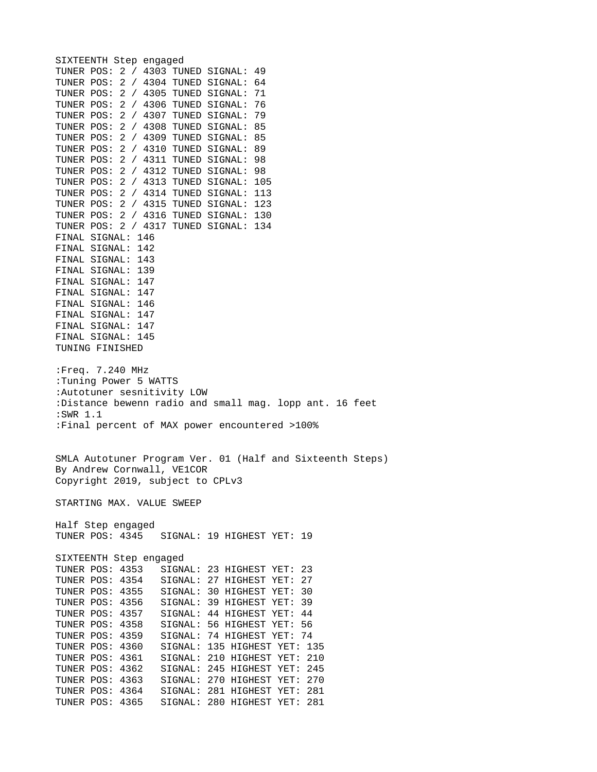SIXTEENTH Step engaged TUNER POS: 2 / 4303 TUNED SIGNAL: 49 TUNER POS: 2 / 4304 TUNED SIGNAL: 64 TUNER POS: 2 / 4305 TUNED SIGNAL: 71 TUNER POS: 2 / 4306 TUNED SIGNAL: 76 TUNER POS: 2 / 4307 TUNED SIGNAL: 79 TUNER POS: 2 / 4308 TUNED SIGNAL: 85 TUNER POS: 2 / 4309 TUNED SIGNAL: 85 TUNER POS: 2 / 4310 TUNED SIGNAL: 89 TUNER POS: 2 / 4311 TUNED SIGNAL: 98 TUNER POS: 2 / 4312 TUNED SIGNAL: 98 TUNER POS: 2 / 4313 TUNED SIGNAL: 105 TUNER POS: 2 / 4314 TUNED SIGNAL: 113 TUNER POS: 2 / 4315 TUNED SIGNAL: 123 TUNER POS: 2 / 4316 TUNED SIGNAL: 130 TUNER POS: 2 / 4317 TUNED SIGNAL: 134 FINAL SIGNAL: 146 FINAL SIGNAL: 142 FINAL SIGNAL: 143 FINAL SIGNAL: 139 FINAL SIGNAL: 147 FINAL SIGNAL: 147 FINAL SIGNAL: 146 FINAL SIGNAL: 147 FINAL SIGNAL: 147 FINAL SIGNAL: 145 TUNING FINISHED :Freq. 7.240 MHz :Tuning Power 5 WATTS :Autotuner sesnitivity LOW :Distance bewenn radio and small mag. lopp ant. 16 feet :SWR 1.1 :Final percent of MAX power encountered >100% SMLA Autotuner Program Ver. 01 (Half and Sixteenth Steps) By Andrew Cornwall, VE1COR Copyright 2019, subject to CPLv3 STARTING MAX. VALUE SWEEP Half Step engaged SIGNAL: 19 HIGHEST YET: 19 SIXTEENTH Step engaged TUNER POS: 4353 SIGNAL: 23 HIGHEST YET: 23 SIGNAL: 27 HIGHEST YET: 27 TUNER POS: 4355 SIGNAL: 30 HIGHEST YET: 30 TUNER POS: 4356 SIGNAL: 39 HIGHEST YET: 39 TUNER POS: 4357 SIGNAL: 44 HIGHEST YET: 44 SIGNAL: 56 HIGHEST YET: 56 TUNER POS: 4359 SIGNAL: 74 HIGHEST YET: 74 TUNER POS: 4360 SIGNAL: 135 HIGHEST YET: 135 TUNER POS: 4361 SIGNAL: 210 HIGHEST YET: 210 SIGNAL: 245 HIGHEST YET: 245 TUNER POS: 4363 SIGNAL: 270 HIGHEST YET: 270 TUNER POS: 4364 SIGNAL: 281 HIGHEST YET: 281 TUNER POS: 4365 SIGNAL: 280 HIGHEST YET: 281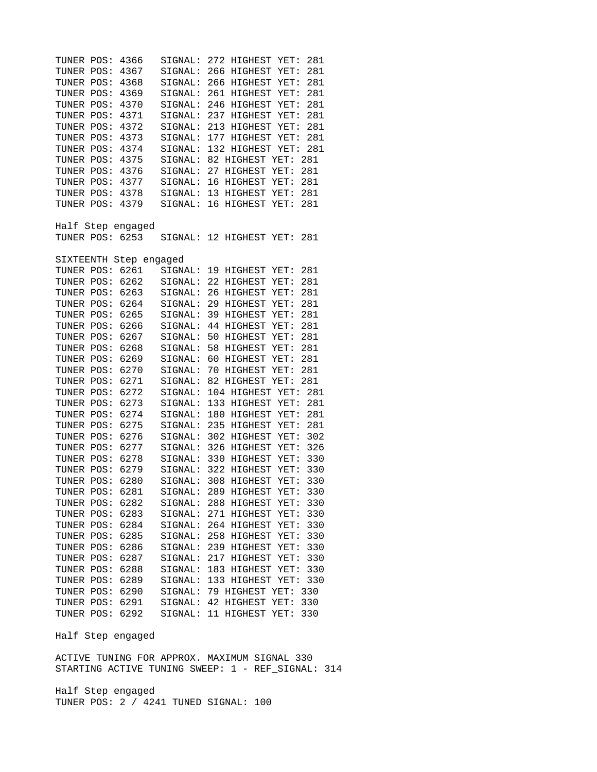TUNER POS: 4366 SIGNAL: 272 HIGHEST YET: 281 TUNER POS: 4367 SIGNAL: 266 HIGHEST YET: 281 SIGNAL: 266 HIGHEST YET: 281 TUNER POS: 4369 SIGNAL: 261 HIGHEST YET: 281 TUNER POS: 4370 SIGNAL: 246 HIGHEST YET: 281 TUNER POS: 4371 SIGNAL: 237 HIGHEST YET: 281 TUNER POS: 4372 SIGNAL: 213 HIGHEST YET: 281 TUNER POS: 4373 SIGNAL: 177 HIGHEST YET: 281 TUNER POS: 4374 SIGNAL: 132 HIGHEST YET: 281 TUNER POS: 4375 SIGNAL: 82 HIGHEST YET: 281 TUNER POS: 4376 SIGNAL: 27 HIGHEST YET: 281 TUNER POS: 4377 SIGNAL: 16 HIGHEST YET: 281 TUNER POS: 4378 SIGNAL: 13 HIGHEST YET: 281 SIGNAL: 16 HIGHEST YET: 281 Half Step engaged SIGNAL: 12 HIGHEST YET: 281 SIXTEENTH Step engaged TUNER POS: 6261 SIGNAL: 19 HIGHEST YET: 281 TUNER POS: 6262 SIGNAL: 22 HIGHEST YET: 281 TUNER POS: 6263 SIGNAL: 26 HIGHEST YET: 281 SIGNAL: 29 HIGHEST YET: 281 TUNER POS: 6265 SIGNAL: 39 HIGHEST YET: 281 TUNER POS: 6266 SIGNAL: 44 HIGHEST YET: 281 TUNER POS: 6267 SIGNAL: 50 HIGHEST YET: 281 TUNER POS: 6268 SIGNAL: 58 HIGHEST YET: 281 TUNER POS: 6269 SIGNAL: 60 HIGHEST YET: 281 TUNER POS: 6270 SIGNAL: 70 HIGHEST YET: 281 TUNER POS: 6271 SIGNAL: 82 HIGHEST YET: 281 TUNER POS: 6272 SIGNAL: 104 HIGHEST YET: 281 TUNER POS: 6273 SIGNAL: 133 HIGHEST YET: 281 TUNER POS: 6274 SIGNAL: 180 HIGHEST YET: 281 TUNER POS: 6275 SIGNAL: 235 HIGHEST YET: 281 TUNER POS: 6276 SIGNAL: 302 HIGHEST YET: 302 TUNER POS: 6277 SIGNAL: 326 HIGHEST YET: 326 TUNER POS: 6278 SIGNAL: 330 HIGHEST YET: 330 TUNER POS: 6279 SIGNAL: 322 HIGHEST YET: 330 TUNER POS: 6280 SIGNAL: 308 HIGHEST YET: 330 TUNER POS: 6281 SIGNAL: 289 HIGHEST YET: 330 TUNER POS: 6282 SIGNAL: 288 HIGHEST YET: 330 TUNER POS: 6283 SIGNAL: 271 HIGHEST YET: 330 TUNER POS: 6284 SIGNAL: 264 HIGHEST YET: 330 TUNER POS: 6285 SIGNAL: 258 HIGHEST YET: 330 SIGNAL: 239 HIGHEST YET: 330 TUNER POS: 6287 SIGNAL: 217 HIGHEST YET: 330 TUNER POS: 6288 SIGNAL: 183 HIGHEST YET: 330 TUNER POS: 6289 SIGNAL: 133 HIGHEST YET: 330 SIGNAL: 79 HIGHEST YET: 330 TUNER POS: 6291 SIGNAL: 42 HIGHEST YET: 330 TUNER POS: 6292 SIGNAL: 11 HIGHEST YET: 330

Half Step engaged

ACTIVE TUNING FOR APPROX. MAXIMUM SIGNAL 330 STARTING ACTIVE TUNING SWEEP: 1 - REF\_SIGNAL: 314

Half Step engaged TUNER POS: 2 / 4241 TUNED SIGNAL: 100